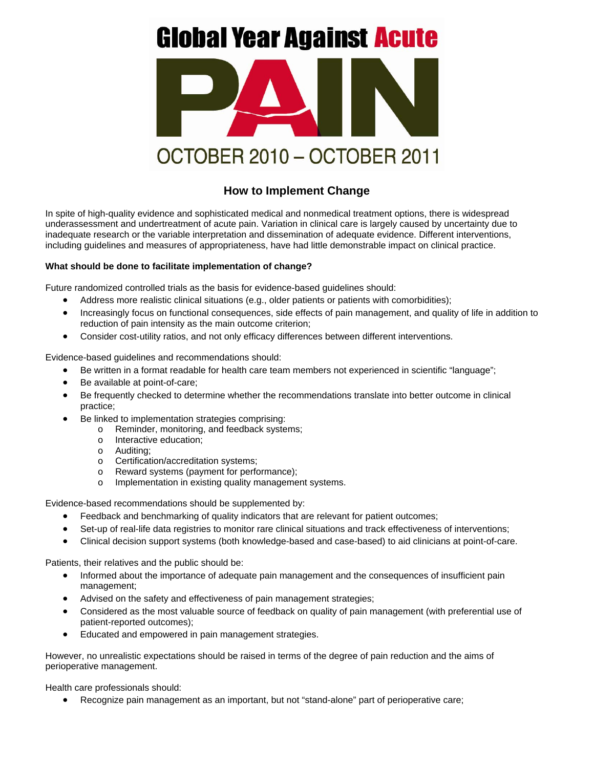## **Global Year Against Acute**



## **How to Implement Change**

In spite of high-quality evidence and sophisticated medical and nonmedical treatment options, there is widespread underassessment and undertreatment of acute pain. Variation in clinical care is largely caused by uncertainty due to inadequate research or the variable interpretation and dissemination of adequate evidence. Different interventions, including guidelines and measures of appropriateness, have had little demonstrable impact on clinical practice.

## **What should be done to facilitate implementation of change?**

Future randomized controlled trials as the basis for evidence-based guidelines should:

- Address more realistic clinical situations (e.g., older patients or patients with comorbidities);
- Increasingly focus on functional consequences, side effects of pain management, and quality of life in addition to reduction of pain intensity as the main outcome criterion;
- Consider cost-utility ratios, and not only efficacy differences between different interventions.

Evidence-based guidelines and recommendations should:

- Be written in a format readable for health care team members not experienced in scientific "language";
- Be available at point-of-care;
- Be frequently checked to determine whether the recommendations translate into better outcome in clinical practice;
- Be linked to implementation strategies comprising:
	- o Reminder, monitoring, and feedback systems;
	- o Interactive education;
	- o Auditing;
	- o Certification/accreditation systems;
	- o Reward systems (payment for performance);
	- o Implementation in existing quality management systems.

Evidence-based recommendations should be supplemented by:

- Feedback and benchmarking of quality indicators that are relevant for patient outcomes;
- Set-up of real-life data registries to monitor rare clinical situations and track effectiveness of interventions;
- Clinical decision support systems (both knowledge-based and case-based) to aid clinicians at point-of-care.

Patients, their relatives and the public should be:

- Informed about the importance of adequate pain management and the consequences of insufficient pain management;
- Advised on the safety and effectiveness of pain management strategies;
- Considered as the most valuable source of feedback on quality of pain management (with preferential use of patient-reported outcomes);
- Educated and empowered in pain management strategies.

However, no unrealistic expectations should be raised in terms of the degree of pain reduction and the aims of perioperative management.

Health care professionals should:

• Recognize pain management as an important, but not "stand-alone" part of perioperative care;